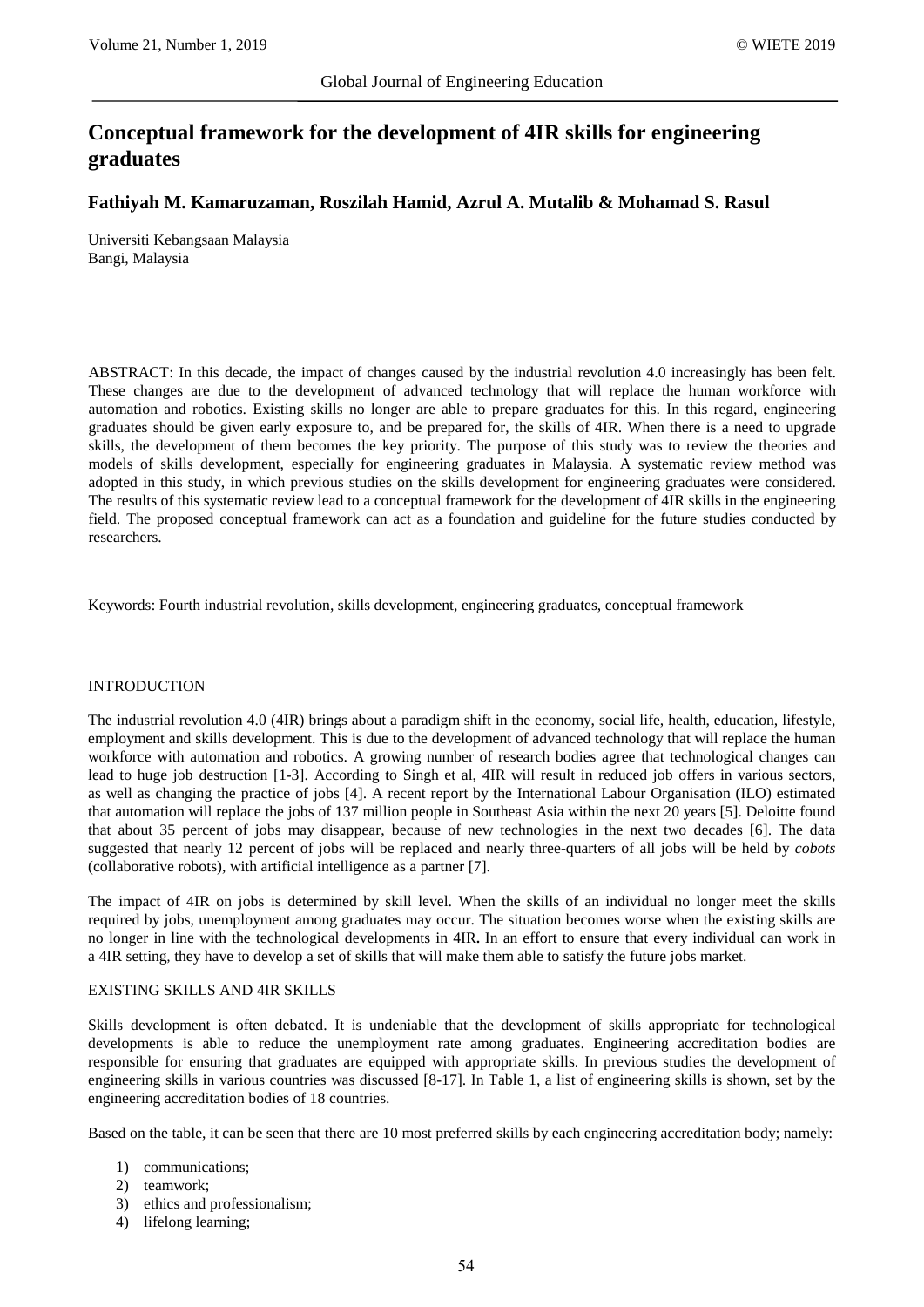# **Conceptual framework for the development of 4IR skills for engineering graduates**

# **Fathiyah M. Kamaruzaman, Roszilah Hamid, Azrul A. Mutalib & Mohamad S. Rasul**

Universiti Kebangsaan Malaysia Bangi, Malaysia

ABSTRACT: In this decade, the impact of changes caused by the industrial revolution 4.0 increasingly has been felt. These changes are due to the development of advanced technology that will replace the human workforce with automation and robotics. Existing skills no longer are able to prepare graduates for this. In this regard, engineering graduates should be given early exposure to, and be prepared for, the skills of 4IR. When there is a need to upgrade skills, the development of them becomes the key priority. The purpose of this study was to review the theories and models of skills development, especially for engineering graduates in Malaysia. A systematic review method was adopted in this study, in which previous studies on the skills development for engineering graduates were considered. The results of this systematic review lead to a conceptual framework for the development of 4IR skills in the engineering field. The proposed conceptual framework can act as a foundation and guideline for the future studies conducted by researchers.

Keywords: Fourth industrial revolution, skills development, engineering graduates, conceptual framework

## INTRODUCTION

The industrial revolution 4.0 (4IR) brings about a paradigm shift in the economy, social life, health, education, lifestyle, employment and skills development. This is due to the development of advanced technology that will replace the human workforce with automation and robotics. A growing number of research bodies agree that technological changes can lead to huge job destruction [1-3]. According to Singh et al, 4IR will result in reduced job offers in various sectors, as well as changing the practice of jobs [4]. A recent report by the International Labour Organisation (ILO) estimated that automation will replace the jobs of 137 million people in Southeast Asia within the next 20 years [5]. Deloitte found that about 35 percent of jobs may disappear, because of new technologies in the next two decades [6]. The data suggested that nearly 12 percent of jobs will be replaced and nearly three-quarters of all jobs will be held by *cobots* (collaborative robots), with artificial intelligence as a partner [7].

The impact of 4IR on jobs is determined by skill level. When the skills of an individual no longer meet the skills required by jobs, unemployment among graduates may occur. The situation becomes worse when the existing skills are no longer in line with the technological developments in 4IR**.** In an effort to ensure that every individual can work in a 4IR setting, they have to develop a set of skills that will make them able to satisfy the future jobs market.

## EXISTING SKILLS AND 4IR SKILLS

Skills development is often debated. It is undeniable that the development of skills appropriate for technological developments is able to reduce the unemployment rate among graduates. Engineering accreditation bodies are responsible for ensuring that graduates are equipped with appropriate skills. In previous studies the development of engineering skills in various countries was discussed [8-17]. In Table 1, a list of engineering skills is shown, set by the engineering accreditation bodies of 18 countries.

Based on the table, it can be seen that there are 10 most preferred skills by each engineering accreditation body; namely:

- 1) communications;
- 2) teamwork;
- 3) ethics and professionalism;
- 4) lifelong learning;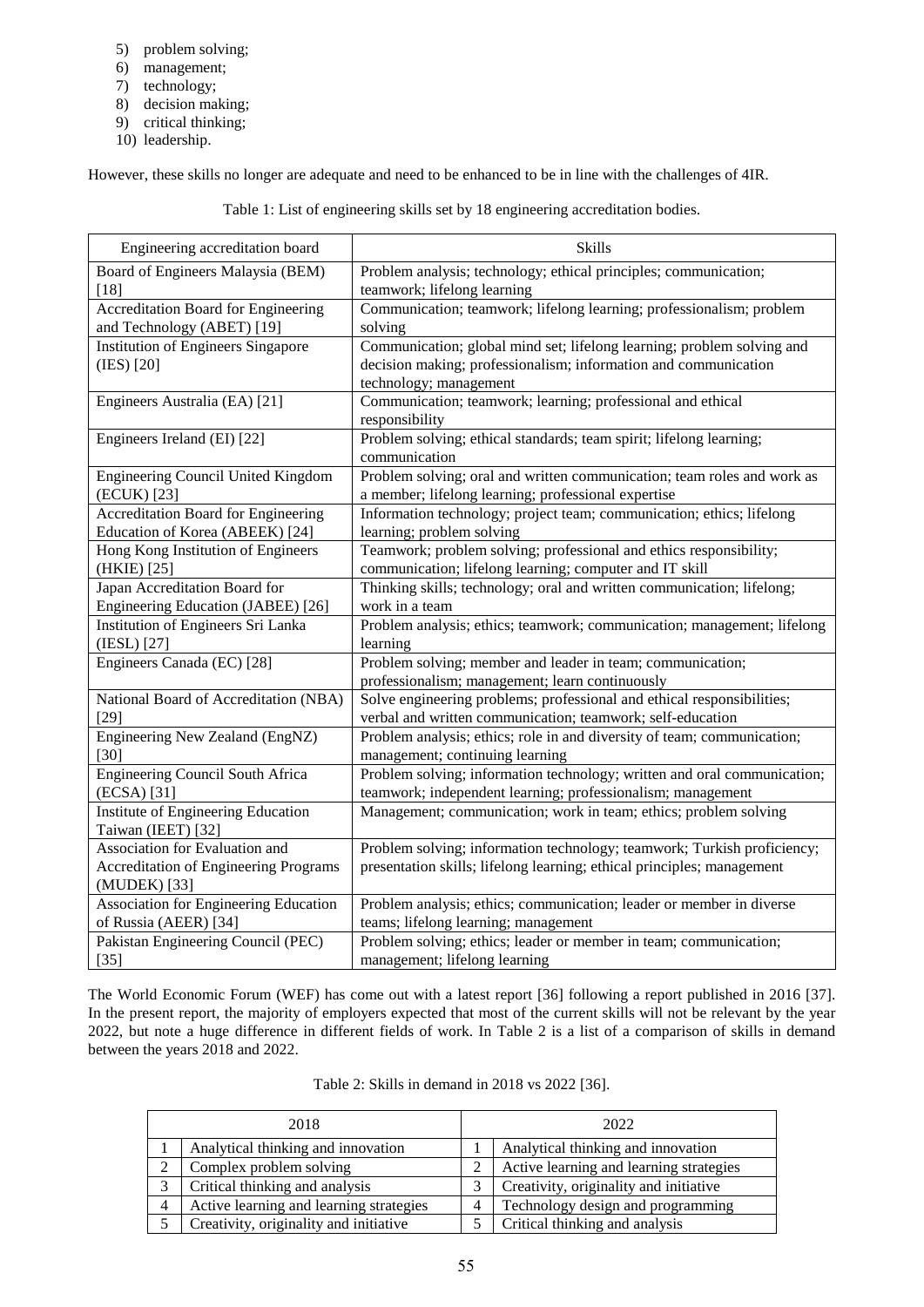- 5) problem solving;
- 6) management;
- 7) technology;
- 8) decision making;
- 9) critical thinking;
- 10) leadership.

However, these skills no longer are adequate and need to be enhanced to be in line with the challenges of 4IR.

Table 1: List of engineering skills set by 18 engineering accreditation bodies.

| Engineering accreditation board                                                                | <b>Skills</b>                                                                                                                                                       |
|------------------------------------------------------------------------------------------------|---------------------------------------------------------------------------------------------------------------------------------------------------------------------|
| Board of Engineers Malaysia (BEM)                                                              | Problem analysis; technology; ethical principles; communication;                                                                                                    |
| [18]                                                                                           | teamwork; lifelong learning                                                                                                                                         |
| <b>Accreditation Board for Engineering</b>                                                     | Communication; teamwork; lifelong learning; professionalism; problem                                                                                                |
| and Technology (ABET) [19]                                                                     | solving                                                                                                                                                             |
| <b>Institution of Engineers Singapore</b><br>(IES) [20]                                        | Communication; global mind set; lifelong learning; problem solving and<br>decision making; professionalism; information and communication<br>technology; management |
| Engineers Australia (EA) [21]                                                                  | Communication; teamwork; learning; professional and ethical<br>responsibility                                                                                       |
| Engineers Ireland (EI) [22]                                                                    | Problem solving; ethical standards; team spirit; lifelong learning;<br>communication                                                                                |
| Engineering Council United Kingdom                                                             | Problem solving; oral and written communication; team roles and work as                                                                                             |
| (ECUK) [23]                                                                                    | a member; lifelong learning; professional expertise                                                                                                                 |
| <b>Accreditation Board for Engineering</b>                                                     | Information technology; project team; communication; ethics; lifelong                                                                                               |
| Education of Korea (ABEEK) [24]                                                                | learning; problem solving                                                                                                                                           |
| Hong Kong Institution of Engineers                                                             | Teamwork; problem solving; professional and ethics responsibility;                                                                                                  |
| (HKIE) [25]                                                                                    | communication; lifelong learning; computer and IT skill                                                                                                             |
| Japan Accreditation Board for                                                                  | Thinking skills; technology; oral and written communication; lifelong;                                                                                              |
| Engineering Education (JABEE) [26]                                                             | work in a team                                                                                                                                                      |
| Institution of Engineers Sri Lanka                                                             | Problem analysis; ethics; teamwork; communication; management; lifelong                                                                                             |
| (IESL) [27]                                                                                    | learning                                                                                                                                                            |
| Engineers Canada (EC) [28]                                                                     | Problem solving; member and leader in team; communication;<br>professionalism; management; learn continuously                                                       |
| National Board of Accreditation (NBA)                                                          | Solve engineering problems; professional and ethical responsibilities;                                                                                              |
| $[29]$                                                                                         | verbal and written communication; teamwork; self-education                                                                                                          |
| Engineering New Zealand (EngNZ)                                                                | Problem analysis; ethics; role in and diversity of team; communication;                                                                                             |
| [30]                                                                                           | management; continuing learning                                                                                                                                     |
| <b>Engineering Council South Africa</b>                                                        | Problem solving; information technology; written and oral communication;                                                                                            |
| (ECSA) [31]                                                                                    | teamwork; independent learning; professionalism; management                                                                                                         |
| Institute of Engineering Education<br>Taiwan (IEET) [32]                                       | Management; communication; work in team; ethics; problem solving                                                                                                    |
| Association for Evaluation and<br><b>Accreditation of Engineering Programs</b><br>(MUDEK) [33] | Problem solving; information technology; teamwork; Turkish proficiency;<br>presentation skills; lifelong learning; ethical principles; management                   |
| Association for Engineering Education                                                          | Problem analysis; ethics; communication; leader or member in diverse                                                                                                |
| of Russia (AEER) [34]                                                                          | teams; lifelong learning; management                                                                                                                                |
| Pakistan Engineering Council (PEC)                                                             | Problem solving; ethics; leader or member in team; communication;                                                                                                   |
| $[35]$                                                                                         | management; lifelong learning                                                                                                                                       |

The World Economic Forum (WEF) has come out with a latest report [36] following a report published in 2016 [37]. In the present report, the majority of employers expected that most of the current skills will not be relevant by the year 2022, but note a huge difference in different fields of work. In Table 2 is a list of a comparison of skills in demand between the years 2018 and 2022.

| Table 2: Skills in demand in 2018 vs 2022 [36]. |  |
|-------------------------------------------------|--|
|-------------------------------------------------|--|

| 2018 |                                         | 2022 |                                         |
|------|-----------------------------------------|------|-----------------------------------------|
|      | Analytical thinking and innovation      |      | Analytical thinking and innovation      |
|      | Complex problem solving                 |      | Active learning and learning strategies |
| 3    | Critical thinking and analysis          | 2    | Creativity, originality and initiative  |
| 4    | Active learning and learning strategies | Δ    | Technology design and programming       |
|      | Creativity, originality and initiative  |      | Critical thinking and analysis          |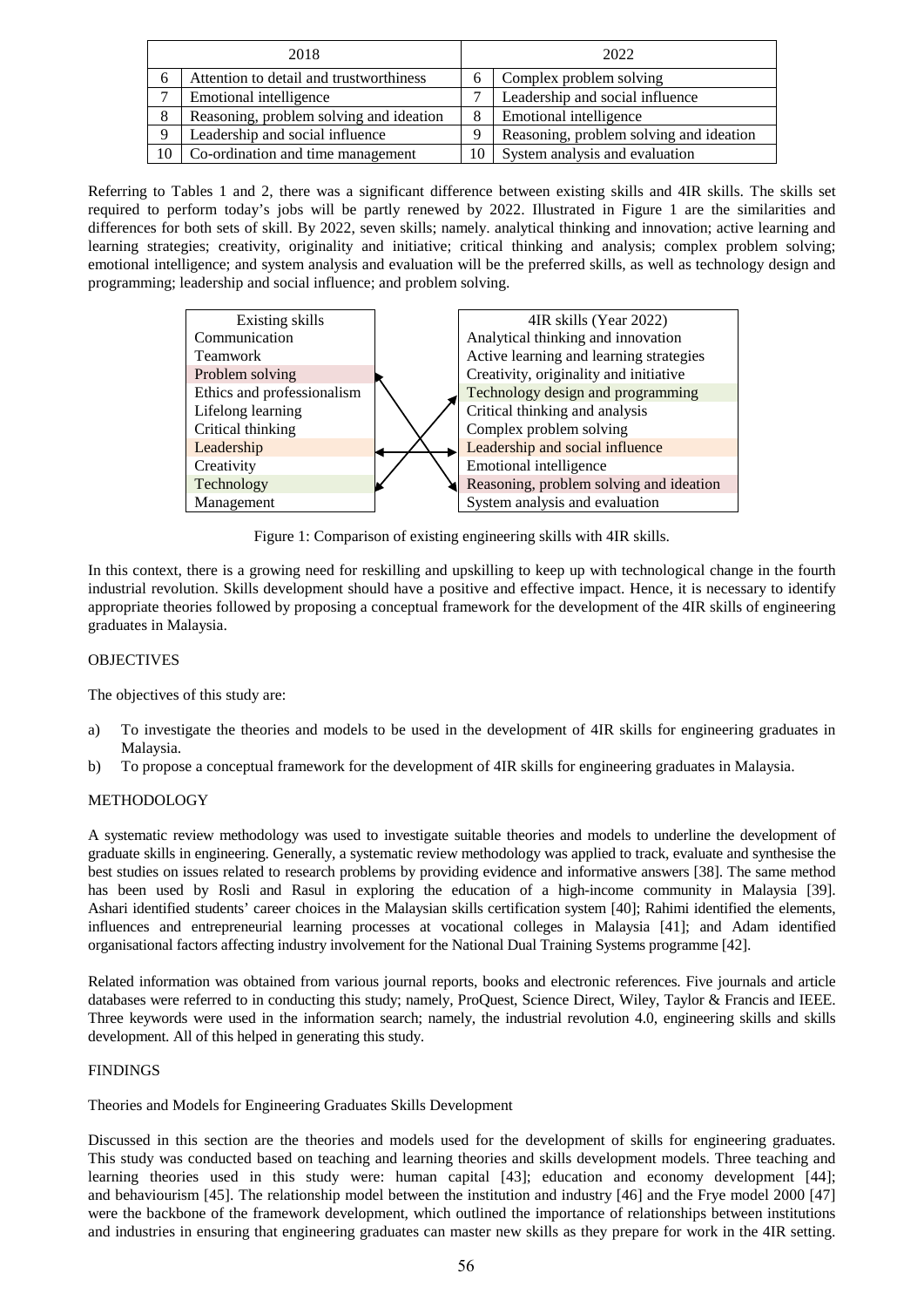| 2018 |                                         | 2022 |                                         |
|------|-----------------------------------------|------|-----------------------------------------|
| 6    | Attention to detail and trustworthiness |      | Complex problem solving                 |
|      | Emotional intelligence                  |      | Leadership and social influence         |
| 8    | Reasoning, problem solving and ideation |      | <b>Emotional intelligence</b>           |
| 9    | Leadership and social influence         |      | Reasoning, problem solving and ideation |
| 10   | Co-ordination and time management       |      | System analysis and evaluation          |

Referring to Tables 1 and 2, there was a significant difference between existing skills and 4IR skills. The skills set required to perform today's jobs will be partly renewed by 2022. Illustrated in Figure 1 are the similarities and differences for both sets of skill. By 2022, seven skills; namely. analytical thinking and innovation; active learning and learning strategies; creativity, originality and initiative; critical thinking and analysis; complex problem solving; emotional intelligence; and system analysis and evaluation will be the preferred skills, as well as technology design and programming; leadership and social influence; and problem solving.



Figure 1: Comparison of existing engineering skills with 4IR skills.

In this context, there is a growing need for reskilling and upskilling to keep up with technological change in the fourth industrial revolution. Skills development should have a positive and effective impact. Hence, it is necessary to identify appropriate theories followed by proposing a conceptual framework for the development of the 4IR skills of engineering graduates in Malaysia.

# OBJECTIVES

The objectives of this study are:

- a) To investigate the theories and models to be used in the development of 4IR skills for engineering graduates in Malaysia.
- b) To propose a conceptual framework for the development of 4IR skills for engineering graduates in Malaysia.

## METHODOLOGY

A systematic review methodology was used to investigate suitable theories and models to underline the development of graduate skills in engineering. Generally, a systematic review methodology was applied to track, evaluate and synthesise the best studies on issues related to research problems by providing evidence and informative answers [38]. The same method has been used by Rosli and Rasul in exploring the education of a high-income community in Malaysia [39]. Ashari identified students' career choices in the Malaysian skills certification system [40]; Rahimi identified the elements, influences and entrepreneurial learning processes at vocational colleges in Malaysia [41]; and Adam identified organisational factors affecting industry involvement for the National Dual Training Systems programme [42].

Related information was obtained from various journal reports, books and electronic references. Five journals and article databases were referred to in conducting this study; namely, ProQuest, Science Direct, Wiley, Taylor & Francis and IEEE. Three keywords were used in the information search; namely, the industrial revolution 4.0, engineering skills and skills development. All of this helped in generating this study.

## FINDINGS

Theories and Models for Engineering Graduates Skills Development

Discussed in this section are the theories and models used for the development of skills for engineering graduates. This study was conducted based on teaching and learning theories and skills development models. Three teaching and learning theories used in this study were: human capital [43]; education and economy development [44]; and behaviourism [45]. The relationship model between the institution and industry [46] and the Frye model 2000 [47] were the backbone of the framework development, which outlined the importance of relationships between institutions and industries in ensuring that engineering graduates can master new skills as they prepare for work in the 4IR setting.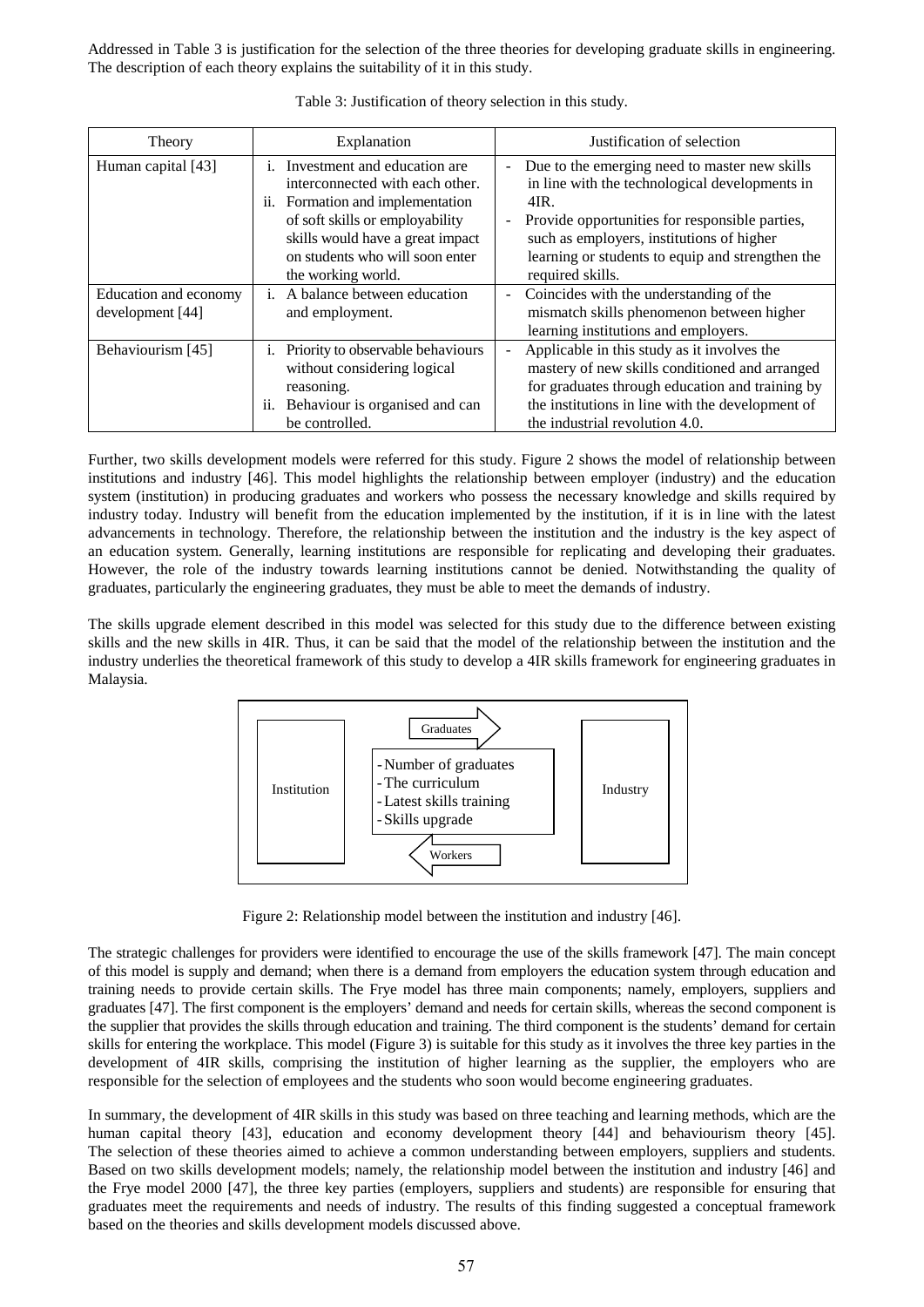Addressed in Table 3 is justification for the selection of the three theories for developing graduate skills in engineering. The description of each theory explains the suitability of it in this study.

| Theory                                    | Explanation                                                                                                                                                                                                                                   | Justification of selection                                                                                                                                                                                                                                                                       |
|-------------------------------------------|-----------------------------------------------------------------------------------------------------------------------------------------------------------------------------------------------------------------------------------------------|--------------------------------------------------------------------------------------------------------------------------------------------------------------------------------------------------------------------------------------------------------------------------------------------------|
| Human capital [43]                        | Investment and education are.<br>Ť.<br>interconnected with each other.<br>Formation and implementation<br>11.<br>of soft skills or employability<br>skills would have a great impact<br>on students who will soon enter<br>the working world. | Due to the emerging need to master new skills<br>in line with the technological developments in<br>4IR.<br>Provide opportunities for responsible parties,<br>$\blacksquare$<br>such as employers, institutions of higher<br>learning or students to equip and strengthen the<br>required skills. |
| Education and economy<br>development [44] | A balance between education<br>$\mathbf{i}$ .<br>and employment.                                                                                                                                                                              | Coincides with the understanding of the<br>$\blacksquare$<br>mismatch skills phenomenon between higher<br>learning institutions and employers.                                                                                                                                                   |
| Behaviourism [45]                         | Priority to observable behaviours<br>i.<br>without considering logical<br>reasoning.<br>Behaviour is organised and can<br>11.<br>be controlled.                                                                                               | Applicable in this study as it involves the<br>mastery of new skills conditioned and arranged<br>for graduates through education and training by<br>the institutions in line with the development of<br>the industrial revolution 4.0.                                                           |

Table 3: Justification of theory selection in this study.

Further, two skills development models were referred for this study. Figure 2 shows the model of relationship between institutions and industry [46]. This model highlights the relationship between employer (industry) and the education system (institution) in producing graduates and workers who possess the necessary knowledge and skills required by industry today. Industry will benefit from the education implemented by the institution, if it is in line with the latest advancements in technology. Therefore, the relationship between the institution and the industry is the key aspect of an education system. Generally, learning institutions are responsible for replicating and developing their graduates. However, the role of the industry towards learning institutions cannot be denied. Notwithstanding the quality of graduates, particularly the engineering graduates, they must be able to meet the demands of industry.

The skills upgrade element described in this model was selected for this study due to the difference between existing skills and the new skills in 4IR. Thus, it can be said that the model of the relationship between the institution and the industry underlies the theoretical framework of this study to develop a 4IR skills framework for engineering graduates in Malaysia.



Figure 2: Relationship model between the institution and industry [46].

The strategic challenges for providers were identified to encourage the use of the skills framework [47]. The main concept of this model is supply and demand; when there is a demand from employers the education system through education and training needs to provide certain skills. The Frye model has three main components; namely, employers, suppliers and graduates [47]. The first component is the employers' demand and needs for certain skills, whereas the second component is the supplier that provides the skills through education and training. The third component is the students' demand for certain skills for entering the workplace. This model (Figure 3) is suitable for this study as it involves the three key parties in the development of 4IR skills, comprising the institution of higher learning as the supplier, the employers who are responsible for the selection of employees and the students who soon would become engineering graduates.

In summary, the development of 4IR skills in this study was based on three teaching and learning methods, which are the human capital theory [43], education and economy development theory [44] and behaviourism theory [45]. The selection of these theories aimed to achieve a common understanding between employers, suppliers and students. Based on two skills development models; namely, the relationship model between the institution and industry [46] and the Frye model 2000 [47], the three key parties (employers, suppliers and students) are responsible for ensuring that graduates meet the requirements and needs of industry. The results of this finding suggested a conceptual framework based on the theories and skills development models discussed above.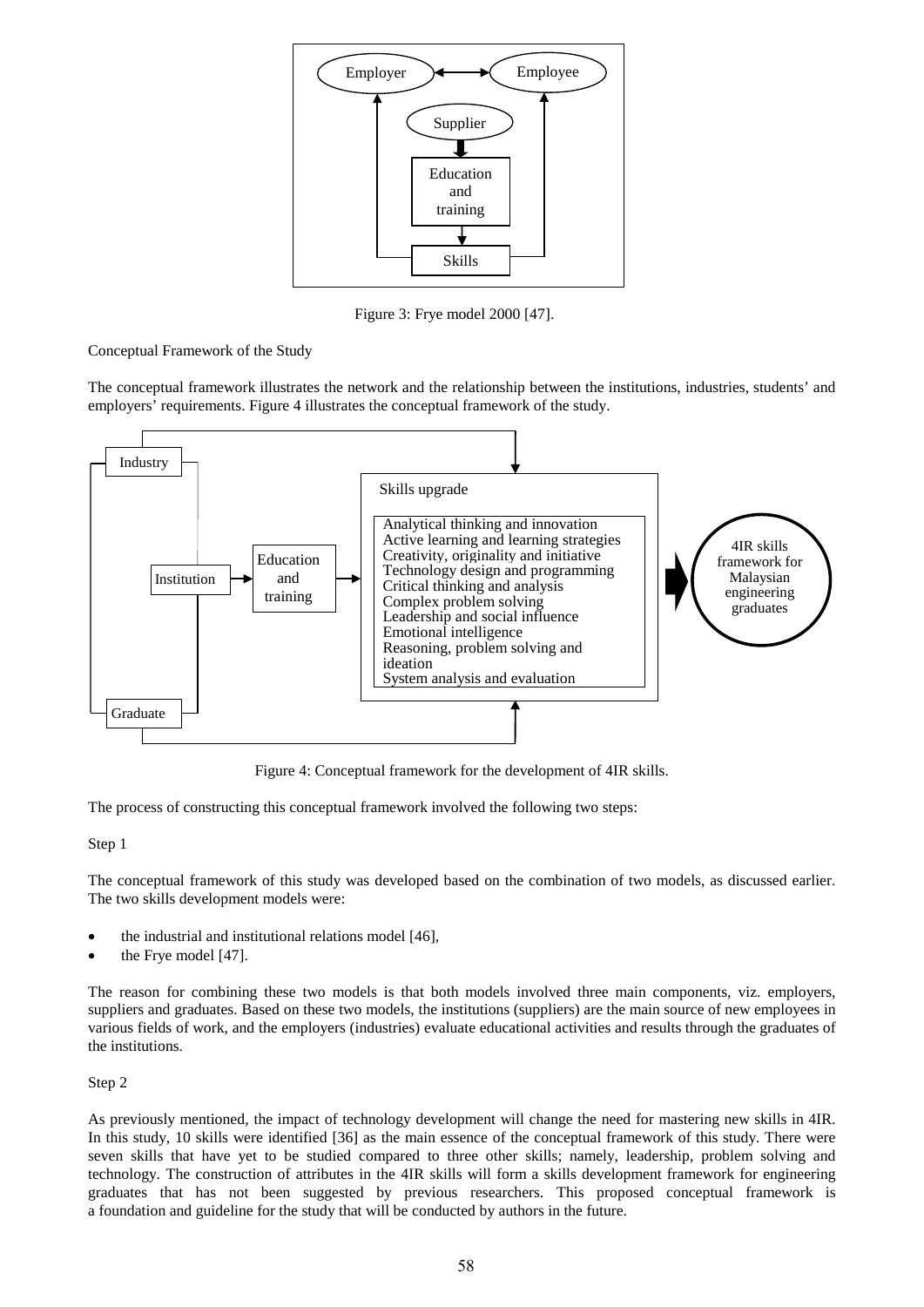

Figure 3: Frye model 2000 [47].

Conceptual Framework of the Study

The conceptual framework illustrates the network and the relationship between the institutions, industries, students' and employers' requirements. Figure 4 illustrates the conceptual framework of the study.



Figure 4: Conceptual framework for the development of 4IR skills.

The process of constructing this conceptual framework involved the following two steps:

## Step 1

The conceptual framework of this study was developed based on the combination of two models, as discussed earlier. The two skills development models were:

- the industrial and institutional relations model [46],
- the Frye model [47].

The reason for combining these two models is that both models involved three main components, viz. employers, suppliers and graduates. Based on these two models, the institutions (suppliers) are the main source of new employees in various fields of work, and the employers (industries) evaluate educational activities and results through the graduates of the institutions.

## Step 2

As previously mentioned, the impact of technology development will change the need for mastering new skills in 4IR. In this study, 10 skills were identified [36] as the main essence of the conceptual framework of this study. There were seven skills that have yet to be studied compared to three other skills; namely, leadership, problem solving and technology. The construction of attributes in the 4IR skills will form a skills development framework for engineering graduates that has not been suggested by previous researchers. This proposed conceptual framework is a foundation and guideline for the study that will be conducted by authors in the future.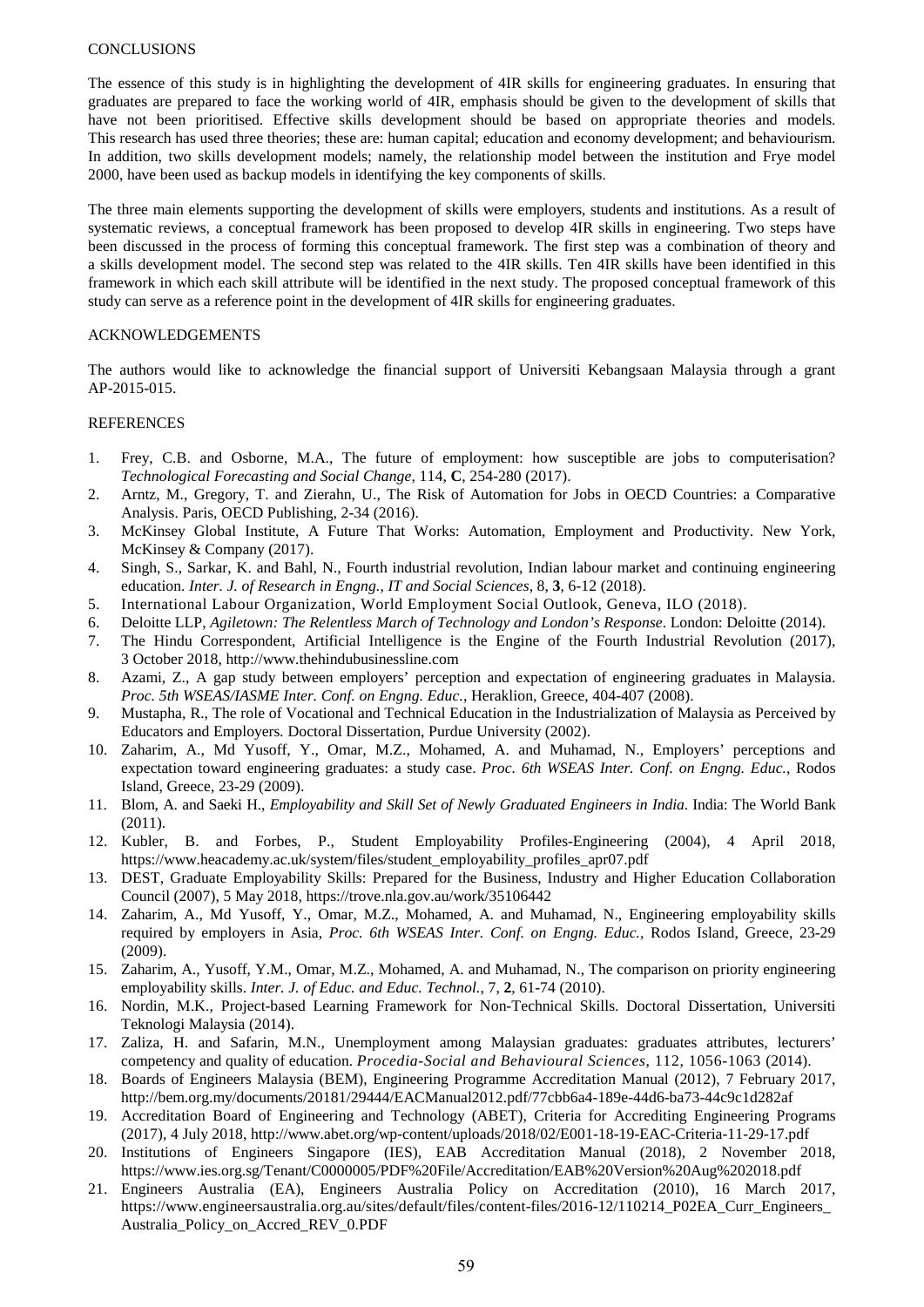#### **CONCLUSIONS**

The essence of this study is in highlighting the development of 4IR skills for engineering graduates. In ensuring that graduates are prepared to face the working world of 4IR, emphasis should be given to the development of skills that have not been prioritised. Effective skills development should be based on appropriate theories and models. This research has used three theories; these are: human capital; education and economy development; and behaviourism. In addition, two skills development models; namely, the relationship model between the institution and Frye model 2000, have been used as backup models in identifying the key components of skills.

The three main elements supporting the development of skills were employers, students and institutions. As a result of systematic reviews, a conceptual framework has been proposed to develop 4IR skills in engineering. Two steps have been discussed in the process of forming this conceptual framework. The first step was a combination of theory and a skills development model. The second step was related to the 4IR skills. Ten 4IR skills have been identified in this framework in which each skill attribute will be identified in the next study. The proposed conceptual framework of this study can serve as a reference point in the development of 4IR skills for engineering graduates.

#### ACKNOWLEDGEMENTS

The authors would like to acknowledge the financial support of Universiti Kebangsaan Malaysia through a grant AP-2015-015.

#### **REFERENCES**

- 1. Frey, C.B. and Osborne, M.A., The future of employment: how susceptible are jobs to computerisation? *Technological Forecasting and Social Change*, 114, **C**, 254-280 (2017).
- 2. Arntz, M., Gregory, T. and Zierahn, U., The Risk of Automation for Jobs in OECD Countries: a Comparative Analysis. Paris, OECD Publishing, 2-34 (2016).
- 3. McKinsey Global Institute, A Future That Works: Automation, Employment and Productivity. New York, McKinsey & Company (2017).
- 4. Singh, S., Sarkar, K. and Bahl, N., Fourth industrial revolution, Indian labour market and continuing engineering education. *Inter. J. of Research in Engng., IT and Social Sciences*, 8, **3**, 6-12 (2018).
- 5. International Labour Organization, World Employment Social Outlook, Geneva, ILO (2018).
- 6. Deloitte LLP, *Agiletown: The Relentless March of Technology and London's Response*. London: Deloitte (2014).
- 7. The Hindu Correspondent, Artificial Intelligence is the Engine of the Fourth Industrial Revolution (2017), 3 October 2018, http://www.thehindubusinessline.com
- 8. Azami, Z., A gap study between employers' perception and expectation of engineering graduates in Malaysia. *Proc. 5th WSEAS/IASME Inter. Conf. on Engng. Educ.*, Heraklion, Greece, 404-407 (2008).
- 9. Mustapha, R., The role of Vocational and Technical Education in the Industrialization of Malaysia as Perceived by Educators and Employers*.* Doctoral Dissertation, Purdue University (2002).
- 10. Zaharim, A., Md Yusoff, Y., Omar, M.Z., Mohamed, A. and Muhamad, N., Employers' perceptions and expectation toward engineering graduates: a study case. *Proc. 6th WSEAS Inter. Conf. on Engng. Educ.*, Rodos Island, Greece, 23-29 (2009).
- 11. Blom, A. and Saeki H., *Employability and Skill Set of Newly Graduated Engineers in India*. India: The World Bank (2011).
- 12. Kubler, B. and Forbes, P., Student Employability Profiles-Engineering (2004), 4 April 2018, https://www.heacademy.ac.uk/system/files/student\_employability\_profiles\_apr07.pdf
- 13. DEST, Graduate Employability Skills: Prepared for the Business, Industry and Higher Education Collaboration Council (2007), 5 May 2018, https://trove.nla.gov.au/work/35106442
- 14. Zaharim, A., Md Yusoff, Y., Omar, M.Z., Mohamed, A. and Muhamad, N., Engineering employability skills required by employers in Asia, *Proc. 6th WSEAS Inter. Conf. on Engng. Educ.,* Rodos Island, Greece, 23-29 (2009).
- 15. Zaharim, A., Yusoff, Y.M., Omar, M.Z., Mohamed, A. and Muhamad, N., The comparison on priority engineering employability skills. *Inter. J. of Educ. and Educ. Technol.*, 7, **2**, 61-74 (2010).
- 16. Nordin, M.K., Project-based Learning Framework for Non-Technical Skills. Doctoral Dissertation, Universiti Teknologi Malaysia (2014).
- 17. Zaliza, H. and Safarin, M.N., Unemployment among Malaysian graduates: graduates attributes, lecturers' competency and quality of education. *Procedia-Social and Behavioural Sciences*, 112, 1056-1063 (2014).
- 18. Boards of Engineers Malaysia (BEM), Engineering Programme Accreditation Manual (2012), 7 February 2017, http://bem.org.my/documents/20181/29444/EACManual2012.pdf/77cbb6a4-189e-44d6-ba73-44c9c1d282af
- 19. Accreditation Board of Engineering and Technology (ABET), Criteria for Accrediting Engineering Programs (2017), 4 July 2018, http://www.abet.org/wp-content/uploads/2018/02/E001-18-19-EAC-Criteria-11-29-17.pdf
- 20. Institutions of Engineers Singapore (IES), EAB Accreditation Manual (2018), 2 November 2018, https://www.ies.org.sg/Tenant/C0000005/PDF%20File/Accreditation/EAB%20Version%20Aug%202018.pdf
- 21. Engineers Australia (EA), Engineers Australia Policy on Accreditation (2010), 16 March 2017, https://www.engineersaustralia.org.au/sites/default/files/content-files/2016-12/110214\_P02EA\_Curr\_Engineers\_ Australia\_Policy\_on\_Accred\_REV\_0.PDF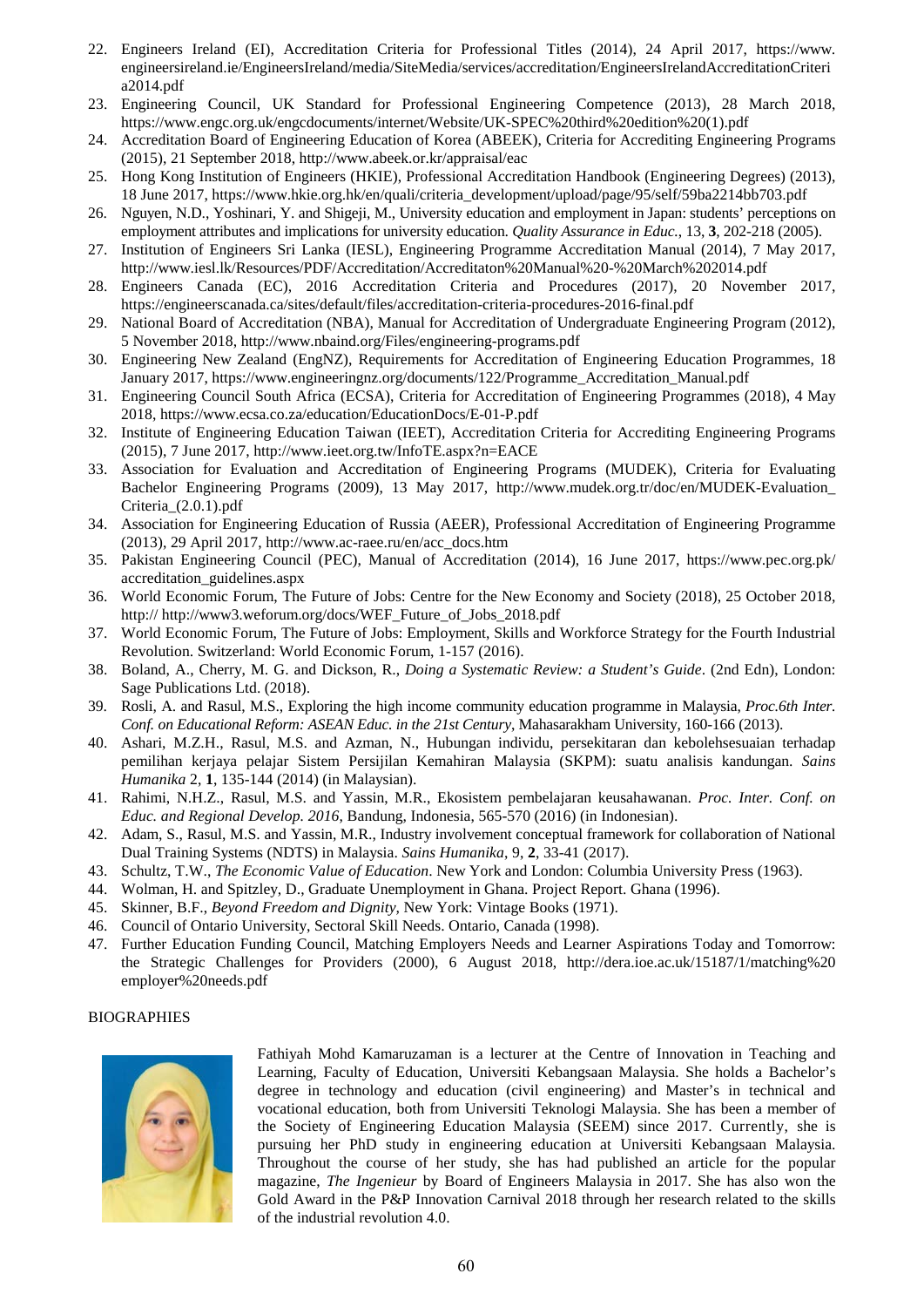- 22. Engineers Ireland (EI), Accreditation Criteria for Professional Titles (2014), 24 April 2017, https://www. engineersireland.ie/EngineersIreland/media/SiteMedia/services/accreditation/EngineersIrelandAccreditationCriteri a2014.pdf
- 23. Engineering Council, UK Standard for Professional Engineering Competence (2013), 28 March 2018, https://www.engc.org.uk/engcdocuments/internet/Website/UK-SPEC%20third%20edition%20(1).pdf
- 24. Accreditation Board of Engineering Education of Korea (ABEEK), Criteria for Accrediting Engineering Programs (2015), 21 September 2018, http://www.abeek.or.kr/appraisal/eac
- 25. Hong Kong Institution of Engineers (HKIE), Professional Accreditation Handbook (Engineering Degrees) (2013), 18 June 2017, https://www.hkie.org.hk/en/quali/criteria\_development/upload/page/95/self/59ba2214bb703.pdf
- 26. Nguyen, N.D., Yoshinari, Y. and Shigeji, M., University education and employment in Japan: students' perceptions on employment attributes and implications for university education. *Quality Assurance in Educ.*, 13, **3**, 202-218 (2005).
- 27. Institution of Engineers Sri Lanka (IESL), Engineering Programme Accreditation Manual (2014), 7 May 2017, http://www.iesl.lk/Resources/PDF/Accreditation/Accreditaton%20Manual%20-%20March%202014.pdf
- 28. Engineers Canada (EC), 2016 Accreditation Criteria and Procedures (2017), 20 November 2017, https://engineerscanada.ca/sites/default/files/accreditation-criteria-procedures-2016-final.pdf
- 29. National Board of Accreditation (NBA), Manual for Accreditation of Undergraduate Engineering Program (2012), 5 November 2018, http://www.nbaind.org/Files/engineering-programs.pdf
- 30. Engineering New Zealand (EngNZ), Requirements for Accreditation of Engineering Education Programmes, 18 January 2017, https://www.engineeringnz.org/documents/122/Programme\_Accreditation\_Manual.pdf
- 31. Engineering Council South Africa (ECSA), Criteria for Accreditation of Engineering Programmes (2018), 4 May 2018, https://www.ecsa.co.za/education/EducationDocs/E-01-P.pdf
- 32. Institute of Engineering Education Taiwan (IEET), Accreditation Criteria for Accrediting Engineering Programs (2015), 7 June 2017, http://www.ieet.org.tw/InfoTE.aspx?n=EACE
- 33. Association for Evaluation and Accreditation of Engineering Programs (MUDEK), Criteria for Evaluating Bachelor Engineering Programs (2009), 13 May 2017, http://www.mudek.org.tr/doc/en/MUDEK-Evaluation\_ Criteria\_(2.0.1).pdf
- 34. Association for Engineering Education of Russia (AEER), Professional Accreditation of Engineering Programme (2013), 29 April 2017, http://www.ac-raee.ru/en/acc\_docs.htm
- 35. Pakistan Engineering Council (PEC), Manual of Accreditation (2014), 16 June 2017, https://www.pec.org.pk/ accreditation\_guidelines.aspx
- 36. World Economic Forum, The Future of Jobs: Centre for the New Economy and Society (2018), 25 October 2018, http:// http://www3.weforum.org/docs/WEF\_Future\_of\_Jobs\_2018.pdf
- 37. World Economic Forum, The Future of Jobs: Employment, Skills and Workforce Strategy for the Fourth Industrial Revolution. Switzerland: World Economic Forum, 1-157 (2016).
- 38. Boland, A., Cherry, M. G. and Dickson, R., *Doing a Systematic Review: a Student's Guide*. (2nd Edn), London: Sage Publications Ltd. (2018).
- 39. Rosli, A. and Rasul, M.S., Exploring the high income community education programme in Malaysia, *Proc.6th Inter. Conf. on Educational Reform: ASEAN Educ. in the 21st Century*, Mahasarakham University, 160-166 (2013).
- 40. Ashari, M.Z.H., Rasul, M.S. and Azman, N., Hubungan individu, persekitaran dan kebolehsesuaian terhadap pemilihan kerjaya pelajar Sistem Persijilan Kemahiran Malaysia (SKPM): suatu analisis kandungan. *Sains Humanika* 2, **1**, 135-144 (2014) (in Malaysian).
- 41. Rahimi, N.H.Z., Rasul, M.S. and Yassin, M.R., Ekosistem pembelajaran keusahawanan. *Proc. Inter. Conf. on Educ. and Regional Develop. 2016*, Bandung, Indonesia, 565-570 (2016) (in Indonesian).
- 42. Adam, S., Rasul, M.S. and Yassin, M.R., Industry involvement conceptual framework for collaboration of National Dual Training Systems (NDTS) in Malaysia. *Sains Humanika*, 9, **2**, 33-41 (2017).
- 43. Schultz, T.W., *The Economic Value of Education*. New York and London: Columbia University Press (1963).
- 44. Wolman, H. and Spitzley, D., Graduate Unemployment in Ghana. Project Report. Ghana (1996).
- 45. Skinner, B.F., *Beyond Freedom and Dignity,* New York: Vintage Books (1971).
- 46. Council of Ontario University, Sectoral Skill Needs. Ontario, Canada (1998).
- 47. Further Education Funding Council, Matching Employers Needs and Learner Aspirations Today and Tomorrow: the Strategic Challenges for Providers (2000), 6 August 2018, http://dera.ioe.ac.uk/15187/1/matching%20 employer%20needs.pdf

## BIOGRAPHIES



Fathiyah Mohd Kamaruzaman is a lecturer at the Centre of Innovation in Teaching and Learning, Faculty of Education, Universiti Kebangsaan Malaysia. She holds a Bachelor's degree in technology and education (civil engineering) and Master's in technical and vocational education, both from Universiti Teknologi Malaysia. She has been a member of the Society of Engineering Education Malaysia (SEEM) since 2017. Currently, she is pursuing her PhD study in engineering education at Universiti Kebangsaan Malaysia. Throughout the course of her study, she has had published an article for the popular magazine, *The Ingenieur* by Board of Engineers Malaysia in 2017. She has also won the Gold Award in the P&P Innovation Carnival 2018 through her research related to the skills of the industrial revolution 4.0.